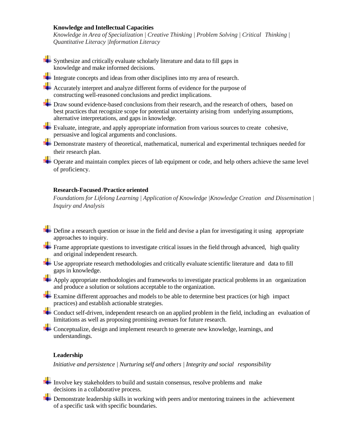# **Knowledge and Intellectual Capacities**

*Knowledge in Area of Specialization | Creative Thinking | Problem Solving | Critical Thinking | Quantitative Literacy |Information Literacy*

Synthesize and critically evaluate scholarly literature and data to fill gaps in knowledge and make informed decisions.

Integrate concepts and ideas from other disciplines into my area of research.

Accurately interpret and analyze different forms of evidence for the purpose of constructing well-reasoned conclusions and predict implications.

**+** Draw sound evidence-based conclusions from their research, and the research of others, based on best practices that recognize scope for potential uncertainty arising from underlying assumptions, alternative interpretations, and gaps in knowledge.

Evaluate, integrate, and apply appropriate information from various sources to create cohesive, persuasive and logical arguments and conclusions.

 $\blacklozenge$  **Demonstrate mastery of theoretical, mathematical, numerical and experimental techniques needed for** their research plan.

Operate and maintain complex pieces of lab equipment or code, and help others achieve the same level of proficiency.

## **Research-Focused /Practice oriented**

*Foundations for Lifelong Learning | Application of Knowledge |Knowledge Creation and Dissemination | Inquiry and Analysis*

 $\overline{\phantom{a}}$  Define a research question or issue in the field and devise a plan for investigating it using appropriate approaches to inquiry.

Frame appropriate questions to investigate critical issues in the field through advanced, high quality and original independent research.

Use appropriate research methodologies and critically evaluate scientific literature and data to fill gaps in knowledge.

Apply appropriate methodologies and frameworks to investigate practical problems in an organization and produce a solution or solutions acceptable to the organization.

Examine different approaches and models to be able to determine best practices (or high impact practices) and establish actionable strategies.

Conduct self-driven, independent research on an applied problem in the field, including an evaluation of limitations as well as proposing promising avenues for future research.

Conceptualize, design and implement research to generate new knowledge, learnings, and understandings.

#### **Leadership**

*Initiative and persistence | Nurturing self and others | Integrity and social responsibility*

- Involve key stakeholders to build and sustain consensus, resolve problems and make decisions in a collaborative process.

 $\triangleq$  Demonstrate leadership skills in working with peers and/or mentoring trainees in the achievement of a specific task with specific boundaries.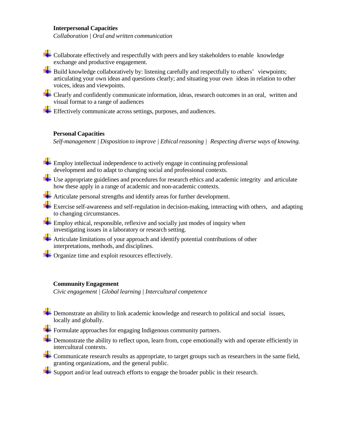# **Interpersonal Capacities**

*Collaboration | Oral and written communication*

 $\div$  Collaborate effectively and respectfully with peers and key stakeholders to enable knowledge exchange and productive engagement.

Build knowledge collaboratively by: listening carefully and respectfully to others' viewpoints; articulating your own ideas and questions clearly; and situating your own ideas in relation to other voices, ideas and viewpoints.

**EXECLE** Clearly and confidently communicate information, ideas, research outcomes in an oral, written and visual format to a range of audiences

Effectively communicate across settings, purposes, and audiences.

## **Personal Capacities**

*Self-management | Disposition to improve | Ethicalreasoning | Respecting diverse ways of knowing.*

Employ intellectual independence to actively engage in continuing professional development and to adapt to changing social and professional contexts.

Use appropriate guidelines and procedures for research ethics and academic integrity and articulate how these apply in a range of academic and non-academic contexts.

Articulate personal strengths and identify areas for further development.

Exercise self-awareness and self-regulation in decision-making, interacting with others, and adapting to changing circumstances.

 $\leftarrow$  Employ ethical, responsible, reflexive and socially just modes of inquiry when investigating issues in a laboratory or research setting.

- Articulate limitations of your approach and identify potential contributions of other interpretations, methods, and disciplines.
- Organize time and exploit resources effectively.

## **Community Engagement**

*Civic engagement | Global learning | Intercultural competence*

**+** Demonstrate an ability to link academic knowledge and research to political and social issues, locally and globally.

Formulate approaches for engaging Indigenous community partners.

Demonstrate the ability to reflect upon, learn from, cope emotionally with and operate efficiently in intercultural contexts.

Communicate research results as appropriate, to target groups such as researchers in the same field, granting organizations, and the general public.

Support and/or lead outreach efforts to engage the broader public in their research.